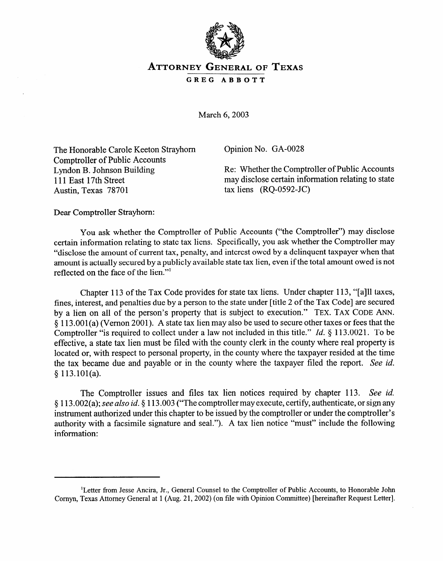

## **ATTORNEY GENERAL OF TEXAS GREG ABBOTT**

March 6,2003

The Honorable Carole Keeton Strayhom Comptroller of Public Accounts Lyndon B. Johnson Building 111 East 17th Street Austin, Texas 78701

Opinion No. GA-0028

Re: Whether the Comptroller of Public Accounts may disclose certain information relating to state tax liens (RQ-0592-JC)

Dear Comptroller Strayhorn:

You ask whether the Comptroller of Public Accounts ("the Comptroller") may disclose certain information relating to state tax liens. Specifically, you ask whether the Comptroller may "disclose the amount of current tax, penalty, and interest owed by a delinquent taxpayer when that amount is actually secured by a publicly available state tax lien, even if the total amount owed is not amount is actually secured by a publicly available state tax lies, over  $\mathbf{r}$  and the total amount owed is not reflected on the face of the hem.

Chapter 113 of the Tax Code provides for state tax liens. Under chapter 113, "[a]ll taxes, fines, interest, and penalties due by a person to the state under [title 2 of the Tax Code] are secured by a lien on all of the person's property that is subject to execution." TEX. TAX CODE ANN.  $\frac{1}{2}$  113.001(a) (Vernon 2001). A state tax lien may also be used to secure other taxes or fees that the Comptroller "is required to collect under a law not included in this title." *Id.*  $\S$  113.0021. To be effective, a state tax lien must be filed with the county clerk in the county where real property is located or, with respect to personal property, in the county where the taxpayer resided at the time the tax became due and payable or in the county where the taxpayer filed the report. See id.  $t \frac{1}{2}$  became due and payable or in the county where the taxpayer filed the report. See *id.*  $t \frac{1}{2}$  $\ddot{\phantom{1}}$ 

The Comptroller issues and files tax lien notices required by chapter 113. See id. § 113.002(a); see also id. § 113.003 ("The comptroller may execute, certify, authenticate, or sign any instrument authorized under this chapter to be issued by the comptroller or under the comptroller's authority with a facsimile signature and seal."). A tax lien notice "must" include the following information.

<sup>&</sup>lt;sup>1</sup>Letter from Jesse Ancira, Jr., General Counsel to the Comptroller of Public Accounts, to Honorable John Cornyn, Texas Attorney General at 1 (Aug. 21, 2002) (on file with Opinion Committee) [hereinafter Request Letter].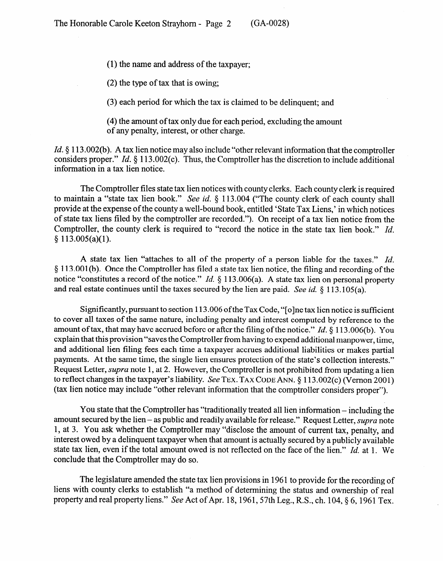(1) the name and address of the taxpayer;

(2) the type of tax that is owing;

(3) each period for which the tax is claimed to be delinquent; and

(4) the amount of tax only due for each period, excluding the amount of any penalty, interest, or other charge.

*Id.* § 113.002(b). A tax lien notice may also include "other relevant information that the comptroller considers proper." *Id.* § 113.002(c). Thus, the Comptroller has the discretion to include additional information in a tax lien notice.

The Comptroller files state tax lien notices with county clerks. Each county clerk is required to maintain a "state tax lien book." See id. § 113.004 ("The county clerk of each county shall to maintain a "state tax lien book." See *id.* 6 113.004 ("The county clerk of each county shall provide at the expense of the county a well-bound book, entitled 'State Tax Liens,' in which notices of state tax liens filed by the comptroller are recorded."). On receipt of a tax lien notice from the Comptroller, the county clerk is required to "record the notice in the state tax lien book." *Id.*   $§ 113.005(a)(1).$ 

A state tax lien "attaches to all of the property of a person liable for the taxes." *Id.* § 113.001(b). Once the Comptroller has filed a state tax lien notice, the filing and recording of the notice "constitutes a record of the notice." *Id.*  $\S$  113.006(a). A state tax lien on personal property notice "constitutes a record of the notice." *Id.* 8 113.006(a). A state tax lien on personal property and real estate continues until the taxes secured by the lien are paid. See *id. tj* 113.1 OS(a).

Significantly, pursuant to section 113.006 of the Tax Code, "[o]ne tax lien notice is sufficient<br>to cover all taxes of the same nature, including penalty and interest computed by reference to the amount of tax, that may have accrued before or after the filing of the notice." Id. § 113.006(b). You explain that this provision "saves the Comptroller from having to expend additional manpower, time, and additional lien filing fees each time a taxpayer accrues additional liabilities or makes partial payments. At the same time, the single lien ensures protection of the state's collection interests." Request Letter, *supra* note 1, at 2. However, the Comptroller is not prohibited from updating a lien to reflect changes in the taxpayer's liability. *See* TEX. TAX CODE ANN. § 113.002(c) (Vernon 2001) to reflect the mandators in the tax **is to reflect the tax** information that the comptroller considers proper<sup>y</sup>) (tax lien notice may include  $\mathbf{r}$  relevant information that the comptroller considers proper  $\mathbf{r}$  relevant in  $\mathbf{r}$ 

You state that the Comptroller has "traditionally treated all lien information – including the amount secured by the lien – as public and readily available for release." Request Letter, *supra* note 1, at 3. You ask whether the Comptroller may "disclose the amount of current tax, penalty, and interest owed by a delinguent taxpayer when that amount is actually secured by a publicly available state tax lien, even if the total amount owed is not reflected on the face of the lien." Id. at 1. We conclude that the Comptroller may do so.

The legislature amended the state tax lien provisions in 1961 to provide for the recording of liens with county clerks to establish "a method of determining the status and ownership of real property and real property liens." See Act of Apr. 18, 1961, 57th Leg., R.S., ch. 104, § 6, 1961 Tex.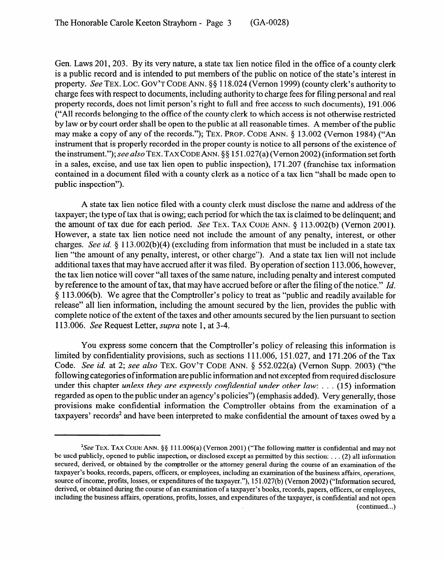Gen. Laws 201, 203. By its very nature, a state tax lien notice filed in the office of a county clerk is a public record and is intended to put members of the public on notice of the state's interest in property. See TEX. LOC. GOV'T CODE ANN. §§ 118.024 (Vernon 1999) (county clerk's authority to charge fees with respect to documents, including authority to charge fees for filing personal and real property records, does not limit person's right to full and free access to such documents), 191.006 ("All records belonging to the office of the county clerk to which access is not otherwise restricted by law or by court order shall be open to the public at all reasonable times. A member of the public may make a copy of any of the records."); TEX. PROP. CODE ANN. § 13.002 (Vernon 1984) ("An instrument that is properly recorded in the proper county is notice to all persons of the existence of the instrument."); see also TEX. TAX CODE ANN. §§ 151.027(a) (Vernon 2002) (information set forth in a sales, excise, and use tax lien open to public inspection), 171.207 (franchise tax information contained in a document filed with a county clerk as a notice of a tax lien "shall be made open to public inspection").

A state tax lien notice filed with a county clerk must disclose the name and address of the taxpayer; the type of tax that is owing; each period for which the tax is claimed to be delinquent; and taxpayer; the type of tax that is owing; each period for which the tax is claimed to be delinquent; and the amount of tax due for each period. See **TEX. TAX CODE** ANN. 9 113.002(b) (Vernon 2001). However, a state tax lien notice need not include the amount of any penalty, interest, or other charges. See id.  $\S 113.002(b)(4)$  (excluding from information that must be included in a state tax lien "the amount of any penalty, interest, or other charge"). And a state tax lien will not include additional taxes that may have accrued after it was filed. By operation of section 113.006, however, the tax lien notice will cover "all taxes of the same nature, including penalty and interest computed by reference to the amount of tax, that may have accrued before or after the filing of the notice." Id. § 113.006(b). We agree that the Comptroller's policy to treat as "public and readily available for release" all lien information, including the amount secured by the lien, provides the public with release" all lien information, including the amount secured by the lien, provides the public with complete notice of the extent of the extent of the taxes and other amounts secured by the lien pursuant to section. 113.006. See Request Letter, *supra* note 1, at 3-4.

You express some concern that the Comptroller's policy of releasing this information is limited by confidentiality provisions, such as sections 111.006, 151.027, and 171.206 of the Tax Code. See id. at 2; see also TEX. GOV'T CODE ANN. § 552.022(a) (Vernon Supp. 2003) ("the following categories of information are public information and not excepted from required disclosure under this chapter *unless they are expressly confidential under other law*:  $\dots$  (15) information regarded as open to the public under an agency's policies") (emphasis added). Very generally, those provisions make confidential information the Comptroller obtains from the examination of a taxpayers' records<sup>2</sup> and have been interpreted to make confidential the amount of taxes owed by a  $\mathbf{r}$  records and have been interpreted to make confidential the amount of taxes owed by amount of taxes owed by a

<sup>&</sup>lt;sup>2</sup>See TEX. TAX CODE ANN. §§ 111.006(a) (Vernon 2001) ("The following matter is confidential and may not be used publicly, opened to public inspection, or disclosed except as permitted by this section: . . . (2) all information secured, derived, or obtained by the comptroller or the attorney general during the course of an examination of the taxpayer's books, records, papers, officers, or employees, including an examination of the business affairs, operations, source of income, profits, losses, or expenditures of the taxpayer."), 151.027(b) (Vernon 2002) ("Information secured, derived, or obtained during the course of an examination of a taxpayer's books, records, papers, officers, or employees, including the business affairs, operations, profits, losses, and expenditures of the taxpayer, is confidential and not open  $(continued...)$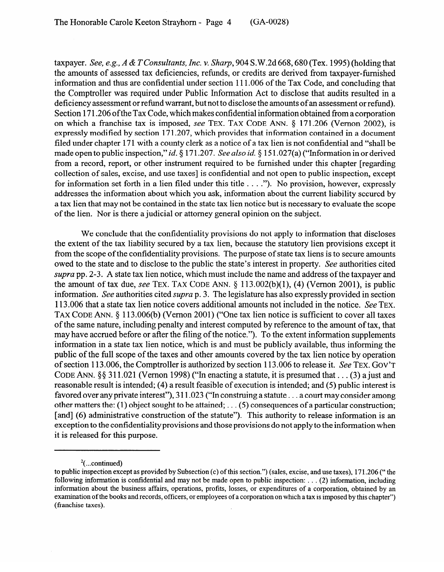taxpayer. *See, e.g., A & TConsultants, Inc.* v. *Sharp,* 904 S.W.2d 668,680 (Tex. 1995) (holding that the amounts of assessed tax deficiencies, refunds, or credits are derived from taxpayer-furnished information and thus are confidential under section 111.006 of the Tax Code, and concluding that the Comptroller was required under Public Information Act to disclose that audits resulted in a deficiency assessment or refund warrant, but not to disclose the amounts of an assessment or refund). Section 171.206 of the Tax Code, which makes confidential information obtained from a corporation on which a franchise tax is imposed, see TEX. TAX CODE ANN. § 171.206 (Vernon 2002), is expressly modified by section 171.207, which provides that information contained in a document filed under chapter 171 with a county clerk as a notice of a tax lien is not confidential and "shall be made open to public inspection," *id.* § 171.207. See also *id.* § 151.027(a) ("Information in or derived from a record, report, or other instrument required to be furnished under this chapter [regarding collection of sales, excise, and use taxes] is confidential and not open to public inspection, except for information set forth in a lien filed under this title . . . ."). No provision, however, expressly addresses the information about which you ask, information about the current liability secured by a tax lien that may not be contained in the state tax lien notice but is necessary to evaluate the scope of the lien. Nor is there a judicial or attorney general opinion on the subject.

We conclude that the confidentiality provisions do not apply to information that discloses the extent of the tax liability secured by a tax lien, because the statutory lien provisions except it from the scope of the confidentiality provisions. The purpose of state tax liens is to secure amounts owed to the state and to disclose to the public the state's interest in property. See authorities cited supra pp. 2-3. A state tax lien notice, which must include the name and address of the taxpayer and the amount of tax due, see TEX. TAX CODE ANN.  $\S$  113.002(b)(1), (4) (Vernon 2001), is public information. See authorities cited *supra* p. 3. The legislature has also expressly provided in section 113.006 that a state tax lien notice covers additional amounts not included in the notice. See TEX. TAX CODE ANN. § 113.006(b) (Vernon 2001) ("One tax lien notice is sufficient to cover all taxes of the same nature, including penalty and interest computed by reference to the amount of tax, that may have accrued before or after the filing of the notice."). To the extent information supplements information in a state tax lien notice, which is and must be publicly available, thus informing the public of the full scope of the taxes and other amounts covered by the tax lien notice by operation of section 113.006, the Comptroller is authorized by section 113.006 to release it. See TEX. GOV'T CODE ANN.  $\S$ § 311.021 (Vernon 1998) ("In enacting a statute, it is presumed that  $\dots$  (3) a just and reasonable result is intended; (4) a result feasible of execution is intended; and (5) public interest is favored over any private interest"),  $311.023$  ("In construing a statute ... a court may consider among other matters the: (1) object sought to be attained; ... (5) consequences of a particular construction; [and] (6) administrative construction of the statute"). This authority to release information is an exception to the confidentiality provisions and those provisions do not apply to the information when it is released for this purpose.

 $2$ (...continued)

to public inspection except as provided by Subsection  $(c)$  of this section.") (sales, excise, and use taxes), 171.206 ("the following information is confidential and may not be made open to public inspection:  $\dots$  (2) information, including information about the business affairs, operations, profits, losses, or expenditures of a corporation, obtained by an examination of the books and records, officers, or employees of a corporation on which a tax is imposed by this chapter") (franchise taxes).